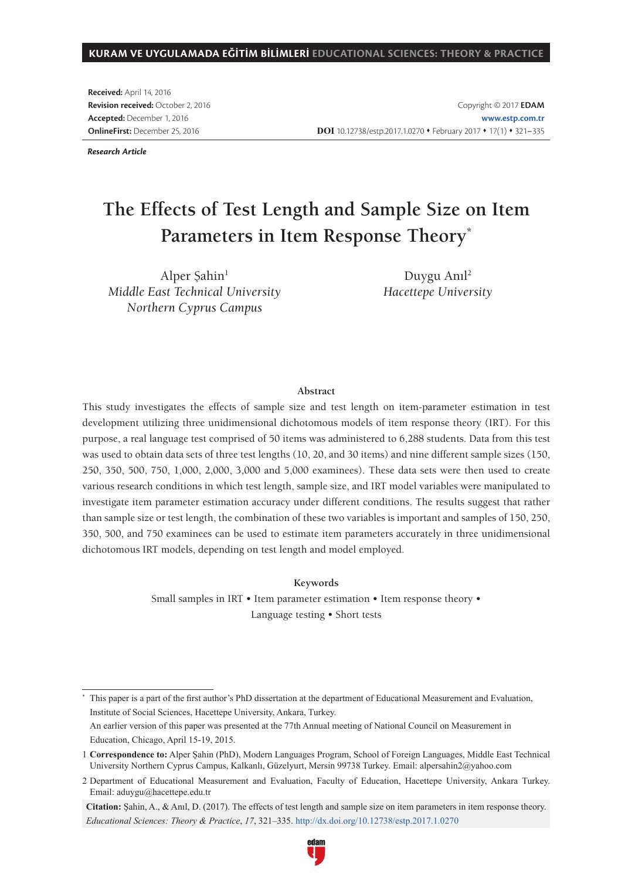**Received:** April 14, 2016 **Revision received:** October 2, 2016 **Accepted:** December 1, 2016 **OnlineFirst:** December 25, 2016

Copyright © 2017 **EDAM www.estp.com.tr** DOI 10.12738/estp.2017.1.0270 • February 2017 • 17(1) • 321-335

*Research Article*

# **The Effects of Test Length and Sample Size on Item Parameters in Item Response Theory\***

Alper Sahin<sup>1</sup> *Middle East Technical University Northern Cyprus Campus* 

Duygu Anıl<sup>2</sup> *Hacettepe University*

#### **Abstract**

This study investigates the effects of sample size and test length on item-parameter estimation in test development utilizing three unidimensional dichotomous models of item response theory (IRT). For this purpose, a real language test comprised of 50 items was administered to 6,288 students. Data from this test was used to obtain data sets of three test lengths (10, 20, and 30 items) and nine different sample sizes (150, 250, 350, 500, 750, 1,000, 2,000, 3,000 and 5,000 examinees). These data sets were then used to create various research conditions in which test length, sample size, and IRT model variables were manipulated to investigate item parameter estimation accuracy under different conditions. The results suggest that rather than sample size or test length, the combination of these two variables is important and samples of 150, 250, 350, 500, and 750 examinees can be used to estimate item parameters accurately in three unidimensional dichotomous IRT models, depending on test length and model employed.

**Keywords** 

Small samples in IRT • Item parameter estimation • Item response theory • Language testing • Short tests

\* This paper is a part of the first author's PhD dissertation at the department of Educational Measurement and Evaluation, Institute of Social Sciences, Hacettepe University, Ankara, Turkey. An earlier version of this paper was presented at the 77th Annual meeting of National Council on Measurement in Education, Chicago, April 15-19, 2015.

<sup>1</sup> **Correspondence to:** Alper Şahin (PhD), Modern Languages Program, School of Foreign Languages, Middle East Technical University Northern Cyprus Campus, Kalkanlı, Güzelyurt, Mersin 99738 Turkey. Email: alpersahin2@yahoo.com

<sup>2</sup> Department of Educational Measurement and Evaluation, Faculty of Education, Hacettepe University, Ankara Turkey. Email: aduygu@hacettepe.edu.tr

**Citation:** Şahin, A., & Anıl, D. (2017). The effects of test length and sample size on item parameters in item response theory. *Educational Sciences: Theory & Practice*, *17*, 321–335. http://dx.doi.org/10.12738/estp.2017.1.0270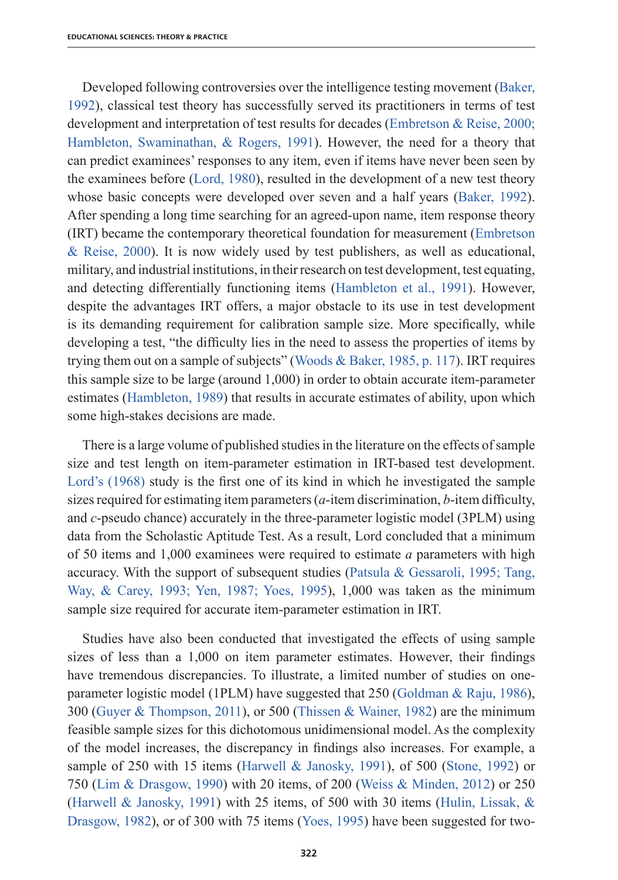Developed following controversies over the intelligence testing movement (Baker, 1992), classical test theory has successfully served its practitioners in terms of test development and interpretation of test results for decades (Embretson & Reise, 2000; Hambleton, Swaminathan, & Rogers, 1991). However, the need for a theory that can predict examinees' responses to any item, even if items have never been seen by the examinees before (Lord, 1980), resulted in the development of a new test theory whose basic concepts were developed over seven and a half years (Baker, 1992). After spending a long time searching for an agreed-upon name, item response theory (IRT) became the contemporary theoretical foundation for measurement (Embretson & Reise, 2000). It is now widely used by test publishers, as well as educational, military, and industrial institutions, in their research on test development, test equating, and detecting differentially functioning items (Hambleton et al., 1991). However, despite the advantages IRT offers, a major obstacle to its use in test development is its demanding requirement for calibration sample size. More specifically, while developing a test, "the difficulty lies in the need to assess the properties of items by trying them out on a sample of subjects" (Woods & Baker, 1985, p. 117). IRT requires this sample size to be large (around 1,000) in order to obtain accurate item-parameter estimates (Hambleton, 1989) that results in accurate estimates of ability, upon which some high-stakes decisions are made.

There is a large volume of published studies in the literature on the effects of sample size and test length on item-parameter estimation in IRT-based test development. Lord's (1968) study is the first one of its kind in which he investigated the sample sizes required for estimating item parameters  $(a$ -item discrimination,  $b$ -item difficulty, and *c*-pseudo chance) accurately in the three-parameter logistic model (3PLM) using data from the Scholastic Aptitude Test. As a result, Lord concluded that a minimum of 50 items and 1,000 examinees were required to estimate *a* parameters with high accuracy. With the support of subsequent studies (Patsula & Gessaroli, 1995; Tang, Way, & Carey, 1993; Yen, 1987; Yoes, 1995), 1,000 was taken as the minimum sample size required for accurate item-parameter estimation in IRT.

Studies have also been conducted that investigated the effects of using sample sizes of less than a 1,000 on item parameter estimates. However, their findings have tremendous discrepancies. To illustrate, a limited number of studies on oneparameter logistic model (1PLM) have suggested that 250 (Goldman & Raju, 1986), 300 (Guyer & Thompson, 2011), or 500 (Thissen & Wainer, 1982) are the minimum feasible sample sizes for this dichotomous unidimensional model. As the complexity of the model increases, the discrepancy in findings also increases. For example, a sample of 250 with 15 items (Harwell & Janosky, 1991), of 500 (Stone, 1992) or 750 (Lim & Drasgow, 1990) with 20 items, of 200 (Weiss & Minden, 2012) or 250 (Harwell & Janosky, 1991) with 25 items, of 500 with 30 items (Hulin, Lissak,  $\&$ Drasgow, 1982), or of 300 with 75 items (Yoes, 1995) have been suggested for two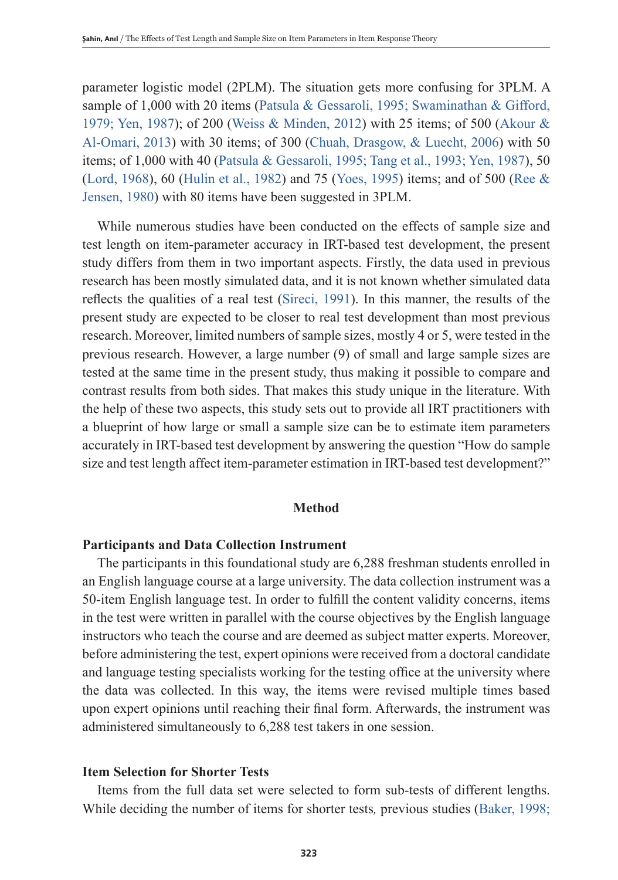parameter logistic model (2PLM). The situation gets more confusing for 3PLM. A sample of 1,000 with 20 items (Patsula & Gessaroli, 1995; Swaminathan & Gifford, 1979; Yen, 1987); of 200 (Weiss & Minden, 2012) with 25 items; of 500 (Akour & Al-Omari, 2013) with 30 items; of 300 (Chuah, Drasgow, & Luecht, 2006) with 50 items; of 1,000 with 40 (Patsula & Gessaroli, 1995; Tang et al., 1993; Yen, 1987), 50 (Lord, 1968), 60 (Hulin et al., 1982) and 75 (Yoes, 1995) items; and of 500 (Ree & Jensen, 1980) with 80 items have been suggested in 3PLM.

While numerous studies have been conducted on the effects of sample size and test length on item-parameter accuracy in IRT-based test development, the present study differs from them in two important aspects. Firstly, the data used in previous research has been mostly simulated data, and it is not known whether simulated data reflects the qualities of a real test (Sireci, 1991). In this manner, the results of the present study are expected to be closer to real test development than most previous research. Moreover, limited numbers of sample sizes, mostly 4 or 5, were tested in the previous research. However, a large number (9) of small and large sample sizes are tested at the same time in the present study, thus making it possible to compare and contrast results from both sides. That makes this study unique in the literature. With the help of these two aspects, this study sets out to provide all IRT practitioners with a blueprint of how large or small a sample size can be to estimate item parameters accurately in IRT-based test development by answering the question "How do sample size and test length affect item-parameter estimation in IRT-based test development?"

## **Method**

## **Participants and Data Collection Instrument**

The participants in this foundational study are 6,288 freshman students enrolled in an English language course at a large university. The data collection instrument was a 50-item English language test. In order to fulfill the content validity concerns, items in the test were written in parallel with the course objectives by the English language instructors who teach the course and are deemed as subject matter experts. Moreover, before administering the test, expert opinions were received from a doctoral candidate and language testing specialists working for the testing office at the university where the data was collected. In this way, the items were revised multiple times based upon expert opinions until reaching their final form. Afterwards, the instrument was administered simultaneously to 6,288 test takers in one session.

## **Item Selection for Shorter Tests**

Items from the full data set were selected to form sub-tests of different lengths. While deciding the number of items for shorter tests*,* previous studies (Baker, 1998;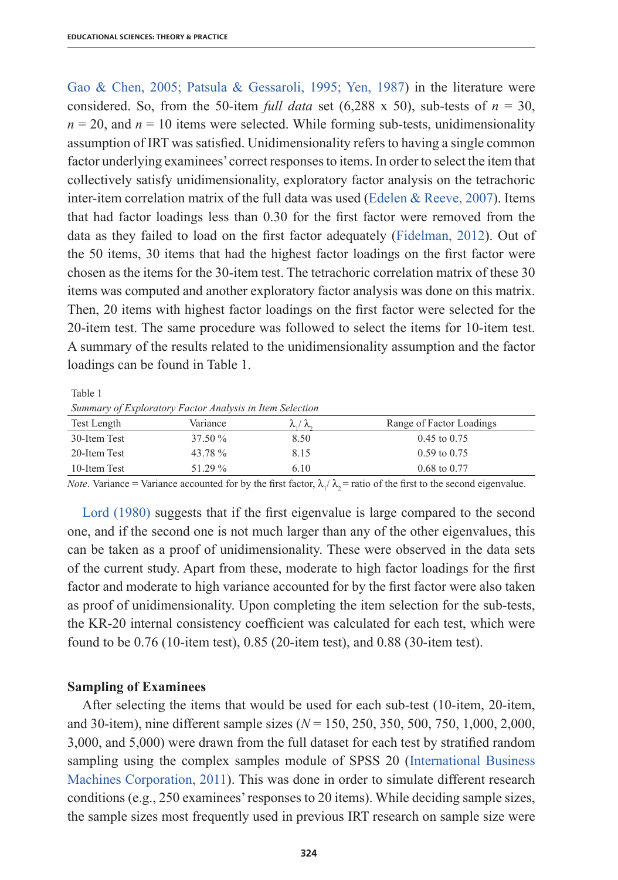Gao & Chen, 2005; Patsula & Gessaroli, 1995; Yen, 1987) in the literature were considered. So, from the 50-item *full data* set (6,288 x 50), sub-tests of  $n = 30$ ,  $n = 20$ , and  $n = 10$  items were selected. While forming sub-tests, unidimensionality assumption of IRT was satisfied. Unidimensionality refers to having a single common factor underlying examinees'correct responsesto items. In order to select the item that collectively satisfy unidimensionality, exploratory factor analysis on the tetrachoric inter-item correlation matrix of the full data was used (Edelen  $\&$  Reeve, 2007). Items that had factor loadings less than 0.30 for the first factor were removed from the data as they failed to load on the first factor adequately (Fidelman, 2012). Out of the 50 items, 30 items that had the highest factor loadings on the first factor were chosen as the items for the 30-item test. The tetrachoric correlation matrix of these 30 items was computed and another exploratory factor analysis was done on this matrix. Then, 20 items with highest factor loadings on the first factor were selected for the 20-item test. The same procedure was followed to select the items for 10-item test. A summary of the results related to the unidimensionality assumption and the factor loadings can be found in Table 1.

Table 1

*Summary of Exploratory Factor Analysis in Item Selection*

| $\sim$       |          |                          |                          |  |  |  |  |
|--------------|----------|--------------------------|--------------------------|--|--|--|--|
| Test Length  | Variance | $\lambda$ ./ $\lambda$ . | Range of Factor Loadings |  |  |  |  |
| 30-Item Test | 37.50 %  | 8.50                     | $0.45$ to $0.75$         |  |  |  |  |
| 20-Item Test | 43.78%   | 8.15                     | $0.59$ to $0.75$         |  |  |  |  |
| 10-Item Test | 51.29 %  | 6.10                     | $0.68 \text{ to } 0.77$  |  |  |  |  |
|              |          |                          |                          |  |  |  |  |

*Note*. Variance = Variance accounted for by the first factor,  $\lambda_1/\lambda_2$  = ratio of the first to the second eigenvalue.

Lord (1980) suggests that if the first eigenvalue is large compared to the second one, and if the second one is not much larger than any of the other eigenvalues, this can be taken as a proof of unidimensionality. These were observed in the data sets of the current study. Apart from these, moderate to high factor loadings for the first factor and moderate to high variance accounted for by the first factor were also taken as proof of unidimensionality. Upon completing the item selection for the sub-tests, the KR-20 internal consistency coefficient was calculated for each test, which were found to be 0.76 (10-item test), 0.85 (20-item test), and 0.88 (30-item test).

## **Sampling of Examinees**

After selecting the items that would be used for each sub-test (10-item, 20-item, and 30-item), nine different sample sizes (*N* = 150, 250, 350, 500, 750, 1,000, 2,000, 3,000, and 5,000) were drawn from the full dataset for each test by stratified random sampling using the complex samples module of SPSS 20 (International Business Machines Corporation, 2011). This was done in order to simulate different research conditions (e.g., 250 examinees'responses to 20 items). While deciding sample sizes, the sample sizes most frequently used in previous IRT research on sample size were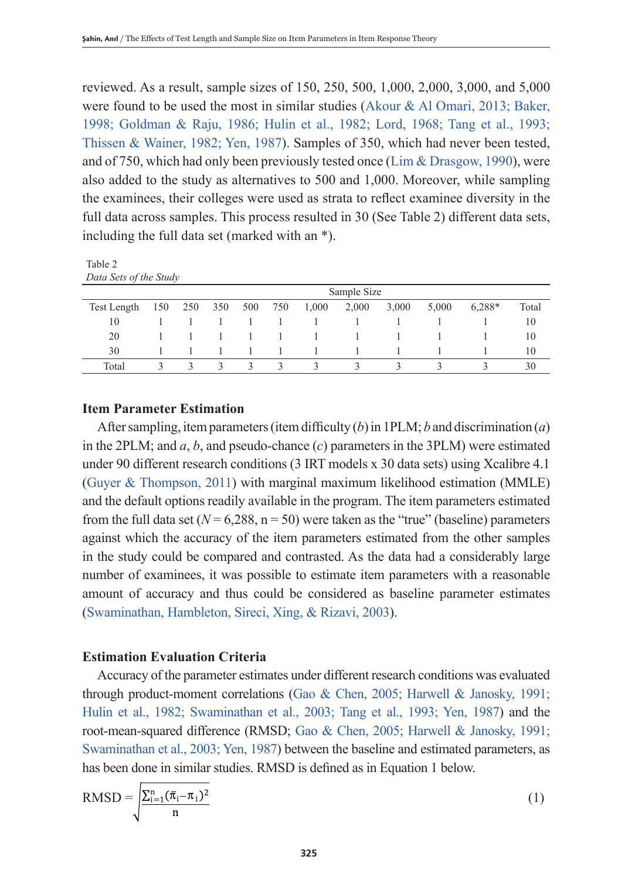reviewed. As a result, sample sizes of 150, 250, 500, 1,000, 2,000, 3,000, and 5,000 were found to be used the most in similar studies (Akour & Al Omari, 2013; Baker, 1998; Goldman & Raju, 1986; Hulin et al., 1982; Lord, 1968; Tang et al., 1993; Thissen & Wainer, 1982; Yen, 1987). Samples of 350, which had never been tested, and of 750, which had only been previously tested once (Lim & Drasgow, 1990), were also added to the study as alternatives to 500 and 1,000. Moreover, while sampling the examinees, their colleges were used as strata to reflect examinee diversity in the full data across samples. This process resulted in 30 (See Table 2) different data sets, including the full data set (marked with an \*).

Table 2 *Data Sets of the Study*

|             |     | Sample Size |               |        |                |               |              |       |       |        |       |
|-------------|-----|-------------|---------------|--------|----------------|---------------|--------------|-------|-------|--------|-------|
| Test Length | 150 | 250         | 350           | 500    | 750            | 1,000         | 2,000        | 3,000 | 5,000 | 6.288* | Total |
| 10          |     |             |               |        |                |               |              |       |       |        | 10    |
| 20          |     |             |               |        |                |               | $\mathbf{1}$ |       |       |        | 10    |
| 30          |     |             |               |        |                |               |              |       |       |        | 10    |
| Total       |     |             | $\mathcal{R}$ | $\sim$ | $\overline{3}$ | $\mathcal{R}$ | 3            | κ     |       |        | 30    |

## **Item Parameter Estimation**

After sampling, item parameters (item difficulty  $(b)$  in 1PLM;  $b$  and discrimination  $(a)$ ) in the 2PLM; and *a*, *b*, and pseudo-chance (*c*) parameters in the 3PLM) were estimated under 90 different research conditions (3 IRT models x 30 data sets) using Xcalibre 4.1 (Guyer & Thompson, 2011) with marginal maximum likelihood estimation (MMLE) and the default options readily available in the program. The item parameters estimated from the full data set  $(N = 6,288, n = 50)$  were taken as the "true" (baseline) parameters against which the accuracy of the item parameters estimated from the other samples in the study could be compared and contrasted. As the data had a considerably large number of examinees, it was possible to estimate item parameters with a reasonable amount of accuracy and thus could be considered as baseline parameter estimates (Swaminathan, Hambleton, Sireci, Xing, & Rizavi, 2003).

## **Estimation Evaluation Criteria**

Accuracy of the parameter estimates under different research conditions was evaluated through product-moment correlations (Gao & Chen, 2005; Harwell & Janosky, 1991; Hulin et al., 1982; Swaminathan et al., 2003; Tang et al., 1993; Yen, 1987) and the root-mean-squared difference (RMSD; Gao & Chen, 2005; Harwell & Janosky, 1991; Swaminathan et al., 2003; Yen, 1987) between the baseline and estimated parameters, as has been done in similar studies. RMSD is defined as in Equation 1 below.

$$
RMSD = \sqrt{\frac{\sum_{i=1}^{n} (\overline{\pi}_i - \pi_i)^2}{n}}
$$
 (1)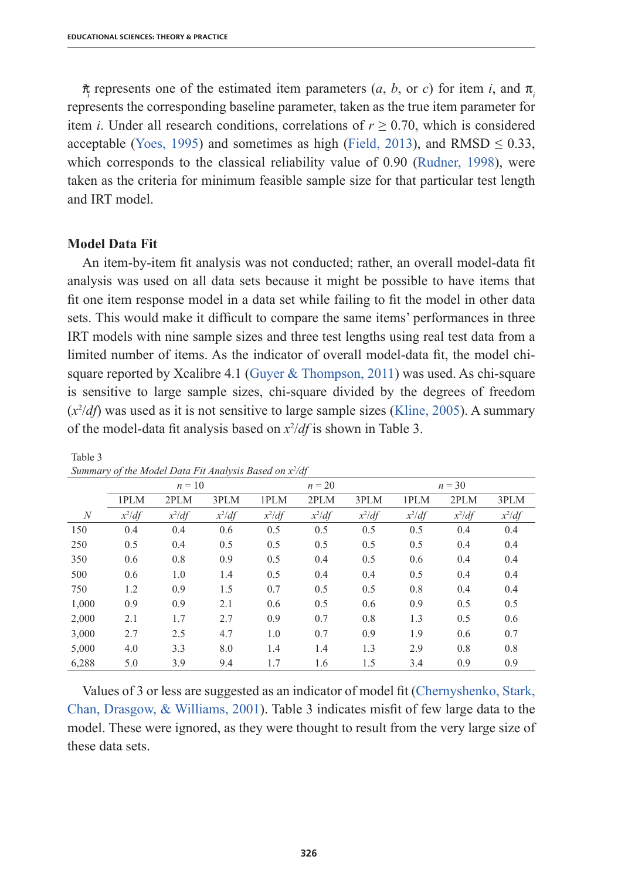$\hat{\pi}$  represents one of the estimated item parameters (*a*, *b*, or *c*) for item *i*, and  $\pi$ represents the corresponding baseline parameter, taken as the true item parameter for item *i*. Under all research conditions, correlations of  $r \ge 0.70$ , which is considered acceptable (Yoes, 1995) and sometimes as high (Field, 2013), and RMSD  $\leq$  0.33, which corresponds to the classical reliability value of 0.90 (Rudner, 1998), were taken as the criteria for minimum feasible sample size for that particular test length and IRT model.

## **Model Data Fit**

Table 3

An item-by-item fit analysis was not conducted; rather, an overall model-data fit analysis was used on all data sets because it might be possible to have items that fit one item response model in a data set while failing to fit the model in other data sets. This would make it difficult to compare the same items' performances in three IRT models with nine sample sizes and three test lengths using real test data from a limited number of items. As the indicator of overall model-data fit, the model chisquare reported by Xcalibre 4.1 (Guyer  $&$  Thompson, 2011) was used. As chi-square is sensitive to large sample sizes, chi-square divided by the degrees of freedom (*x*<sup>2</sup> /*df*) was used as it is not sensitive to large sample sizes (Kline, 2005). A summary of the model-data fit analysis based on *x*<sup>2</sup> /*df* is shown in Table 3.

|       | $n = 10$ |          |          |          | $n = 20$ |          |          | $n = 30$ |          |  |
|-------|----------|----------|----------|----------|----------|----------|----------|----------|----------|--|
|       | 1PLM     | 2PLM     | 3PLM     | 1PLM     | 2PLM     | 3PLM     | 1PLM     | 2PLM     | 3PLM     |  |
| N     | $x^2$ df | $x^2$ df | $x^2$ df | $x^2$ df | $x^2$ df | $x^2$ df | $x^2$ df | $x^2$ df | $x^2$ df |  |
| 150   | 0.4      | 0.4      | 0.6      | 0.5      | 0.5      | 0.5      | 0.5      | 0.4      | 0.4      |  |
| 250   | 0.5      | 0.4      | 0.5      | 0.5      | 0.5      | 0.5      | 0.5      | 0.4      | 0.4      |  |
| 350   | 0.6      | 0.8      | 0.9      | 0.5      | 0.4      | 0.5      | 0.6      | 0.4      | 0.4      |  |
| 500   | 0.6      | 1.0      | 1.4      | 0.5      | 0.4      | 0.4      | 0.5      | 0.4      | 0.4      |  |
| 750   | 1.2      | 0.9      | 1.5      | 0.7      | 0.5      | 0.5      | 0.8      | 0.4      | 0.4      |  |
| 1,000 | 0.9      | 0.9      | 2.1      | 0.6      | 0.5      | 0.6      | 0.9      | 0.5      | 0.5      |  |
| 2,000 | 2.1      | 1.7      | 2.7      | 0.9      | 0.7      | 0.8      | 1.3      | 0.5      | 0.6      |  |
| 3,000 | 2.7      | 2.5      | 4.7      | 1.0      | 0.7      | 0.9      | 1.9      | 0.6      | 0.7      |  |
| 5,000 | 4.0      | 3.3      | 8.0      | 1.4      | 1.4      | 1.3      | 2.9      | 0.8      | 0.8      |  |
| 6,288 | 5.0      | 3.9      | 9.4      | 1.7      | 1.6      | 1.5      | 3.4      | 0.9      | 0.9      |  |

#### *Summary of the Model Data Fit Analysis Based on x2 /df*

Values of 3 or less are suggested as an indicator of model fit (Chernyshenko, Stark, Chan, Drasgow, & Williams, 2001). Table 3 indicates misfit of few large data to the model. These were ignored, as they were thought to result from the very large size of these data sets.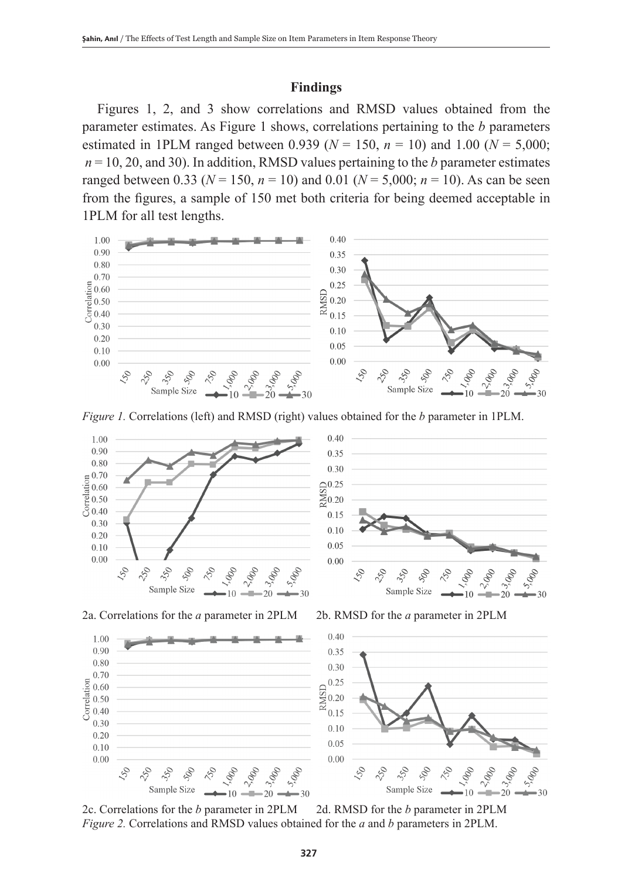## **Findings**

Figures 1, 2, and 3 show correlations and RMSD values obtained from the parameter estimates. As Figure 1 shows, correlations pertaining to the *b* parameters estimated in 1PLM ranged between 0.939 ( $N = 150$ ,  $n = 10$ ) and 1.00 ( $N = 5,000$ ;  $n = 10, 20,$  and 30). In addition, RMSD values pertaining to the *b* parameter estimates ranged between 0.33 ( $N = 150$ ,  $n = 10$ ) and 0.01 ( $N = 5,000$ ;  $n = 10$ ). As can be seen from the figures, a sample of 150 met both criteria for being deemed acceptable in 1PLM for all test lengths.







2c. Correlations for the *b* parameter in 2PLM 2d. RMSD for the *b* parameter in 2PLM *Figure 2.* Correlations and RMSD values obtained for the *a* and *b* parameters in 2PLM.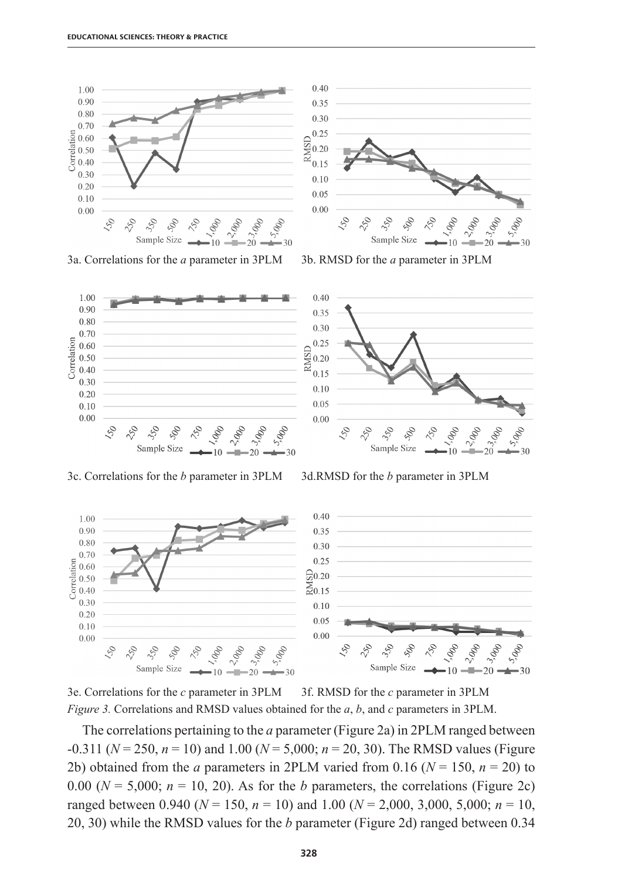



3e. Correlations for the *c* parameter in 3PLM 3f. RMSD for the *c* parameter in 3PLM *Figure 3.* Correlations and RMSD values obtained for the *a*, *b*, and *c* parameters in 3PLM.

The correlations pertaining to the *a* parameter (Figure 2a) in 2PLM ranged between -0.311 (*N* = 250, *n* = 10) and 1.00 (*N* = 5,000; *n* = 20, 30). The RMSD values (Figure 2b) obtained from the *a* parameters in 2PLM varied from 0.16 ( $N = 150$ ,  $n = 20$ ) to 0.00 ( $N = 5,000$ ;  $n = 10, 20$ ). As for the *b* parameters, the correlations (Figure 2c) ranged between 0.940 ( $N = 150$ ,  $n = 10$ ) and 1.00 ( $N = 2,000, 3,000, 5,000$ ;  $n = 10$ , 20, 30) while the RMSD values for the *b* parameter (Figure 2d) ranged between 0.34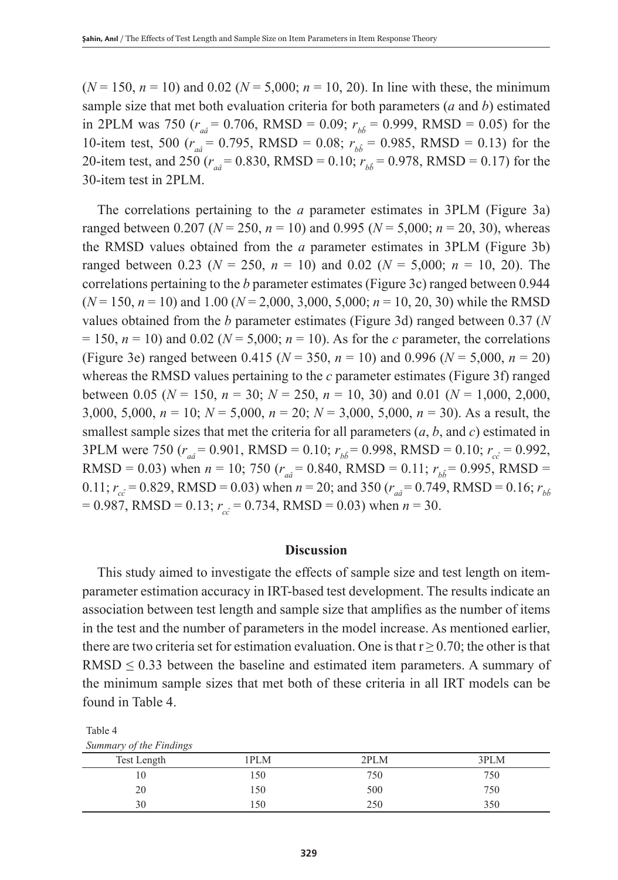$(N = 150, n = 10)$  and 0.02 ( $N = 5,000; n = 10, 20$ ). In line with these, the minimum sample size that met both evaluation criteria for both parameters (*a* and *b*) estimated in 2PLM was 750 ( $r_{a\hat{i}} = 0.706$ , RMSD = 0.09;  $r_{b\hat{i}} = 0.999$ , RMSD = 0.05) for the 10-item test, 500 ( $r_{a\hat{a}}$  = 0.795, RMSD = 0.08;  $r_{b\hat{b}}$  = 0.985, RMSD = 0.13) for the 20-item test, and 250 ( $r_a$ <sup> $= 0.830$ , RMSD = 0.10;  $r_b$ <sup> $= 0.978$ </sup>, RMSD = 0.17) for the</sup> 30-item test in 2PLM.

The correlations pertaining to the *a* parameter estimates in 3PLM (Figure 3a) ranged between 0.207 ( $N = 250$ ,  $n = 10$ ) and 0.995 ( $N = 5,000$ ;  $n = 20, 30$ ), whereas the RMSD values obtained from the *a* parameter estimates in 3PLM (Figure 3b) ranged between 0.23 ( $N = 250$ ,  $n = 10$ ) and 0.02 ( $N = 5,000$ ;  $n = 10, 20$ ). The correlations pertaining to the *b* parameter estimates (Figure 3c) ranged between 0.944 (*N* = 150, *n* = 10) and 1.00 (*N* = 2,000, 3,000, 5,000; *n* = 10, 20, 30) while the RMSD values obtained from the *b* parameter estimates (Figure 3d) ranged between 0.37 (*N*  $= 150$ ,  $n = 10$ ) and 0.02 ( $N = 5,000$ ;  $n = 10$ ). As for the *c* parameter, the correlations (Figure 3e) ranged between 0.415 (*N* = 350, *n* = 10) and 0.996 (*N* = 5,000, *n* = 20) whereas the RMSD values pertaining to the *c* parameter estimates (Figure 3f) ranged between 0.05 ( $N = 150$ ,  $n = 30$ ;  $N = 250$ ,  $n = 10$ , 30) and 0.01 ( $N = 1,000$ , 2,000, 3,000, 5,000, *n* = 10; *N* = 5,000, *n* = 20; *N* = 3,000, 5,000, *n* = 30). As a result, the smallest sample sizes that met the criteria for all parameters  $(a, b,$  and  $c)$  estimated in 3PLM were 750  $(r_{a\hat{i}} = 0.901, \text{ RMSD} = 0.10; r_{b\hat{i}} = 0.998, \text{ RMSD} = 0.10; r_{c\hat{i}} = 0.992,$ RMSD = 0.03) when  $n = 10$ ; 750 ( $r_{a\hat{i}} = 0.840$ , RMSD = 0.11;  $r_{b\hat{i}} = 0.995$ , RMSD = 0.11;  $r_{c\hat{c}} = 0.829$ , RMSD = 0.03) when  $n = 20$ ; and 350 ( $r_{a\hat{a}} = 0.749$ , RMSD = 0.16;  $r_{b\hat{b}}$  $= 0.987$ , RMSD = 0.13;  $r_{c\hat{c}} = 0.734$ , RMSD = 0.03) when  $n = 30$ .

## **Discussion**

This study aimed to investigate the effects of sample size and test length on itemparameter estimation accuracy in IRT-based test development. The results indicate an association between test length and sample size that amplifies as the number of items in the test and the number of parameters in the model increase. As mentioned earlier, there are two criteria set for estimation evaluation. One is that  $r \ge 0.70$ ; the other is that RMSD  $\leq$  0.33 between the baseline and estimated item parameters. A summary of the minimum sample sizes that met both of these criteria in all IRT models can be found in Table 4.

| Summary of the Findings |      |      |      |
|-------------------------|------|------|------|
| Test Length             | 1PLM | 2PLM | 3PLM |
|                         | 150  | 750  | 750  |
| 20                      | 150  | 500  | 750  |
|                         | .50  | 250  | 350  |

Table 4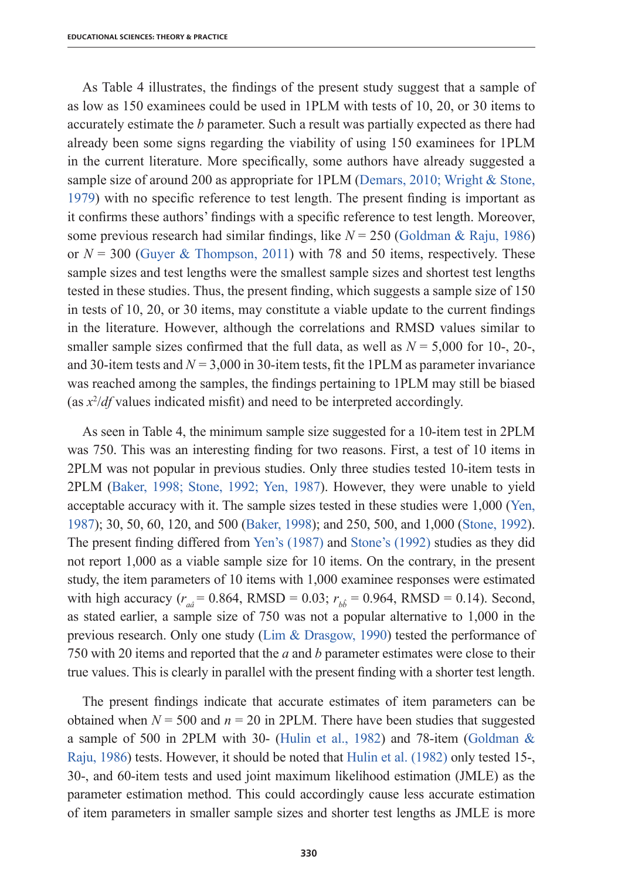As Table 4 illustrates, the findings of the present study suggest that a sample of as low as 150 examinees could be used in 1PLM with tests of 10, 20, or 30 items to accurately estimate the *b* parameter. Such a result was partially expected as there had already been some signs regarding the viability of using 150 examinees for 1PLM in the current literature. More specifically, some authors have already suggested a sample size of around 200 as appropriate for 1PLM (Demars, 2010; Wright & Stone, 1979) with no specific reference to test length. The present finding is important as it confirms these authors' findings with a specific reference to test length. Moreover, some previous research had similar findings, like *N* = 250 (Goldman & Raju, 1986) or  $N = 300$  (Guyer & Thompson, 2011) with 78 and 50 items, respectively. These sample sizes and test lengths were the smallest sample sizes and shortest test lengths tested in these studies. Thus, the present finding, which suggests a sample size of 150 in tests of 10, 20, or 30 items, may constitute a viable update to the current findings in the literature. However, although the correlations and RMSD values similar to smaller sample sizes confirmed that the full data, as well as  $N = 5,000$  for 10-, 20-, and 30-item tests and  $N = 3,000$  in 30-item tests, fit the 1PLM as parameter invariance was reached among the samples, the findings pertaining to 1PLM may still be biased (as *x*<sup>2</sup> /*df* values indicated misfit) and need to be interpreted accordingly.

As seen in Table 4, the minimum sample size suggested for a 10-item test in 2PLM was 750. This was an interesting finding for two reasons. First, a test of 10 items in 2PLM was not popular in previous studies. Only three studies tested 10-item tests in 2PLM (Baker, 1998; Stone, 1992; Yen, 1987). However, they were unable to yield acceptable accuracy with it. The sample sizes tested in these studies were 1,000 (Yen, 1987); 30, 50, 60, 120, and 500 (Baker, 1998); and 250, 500, and 1,000 (Stone, 1992). The present finding differed from Yen's (1987) and Stone's (1992) studies as they did not report 1,000 as a viable sample size for 10 items. On the contrary, in the present study, the item parameters of 10 items with 1,000 examinee responses were estimated with high accuracy ( $r_{a\hat{i}} = 0.864$ , RMSD = 0.03;  $r_{b\hat{i}} = 0.964$ , RMSD = 0.14). Second, as stated earlier, a sample size of 750 was not a popular alternative to 1,000 in the previous research. Only one study (Lim & Drasgow, 1990) tested the performance of 750 with 20 items and reported that the *a* and *b* parameter estimates were close to their true values. This is clearly in parallel with the present finding with a shorter test length.

The present findings indicate that accurate estimates of item parameters can be obtained when  $N = 500$  and  $n = 20$  in 2PLM. There have been studies that suggested a sample of 500 in 2PLM with 30- (Hulin et al., 1982) and 78-item (Goldman  $\&$ Raju, 1986) tests. However, it should be noted that Hulin et al. (1982) only tested 15-, 30-, and 60-item tests and used joint maximum likelihood estimation (JMLE) as the parameter estimation method. This could accordingly cause less accurate estimation of item parameters in smaller sample sizes and shorter test lengths as JMLE is more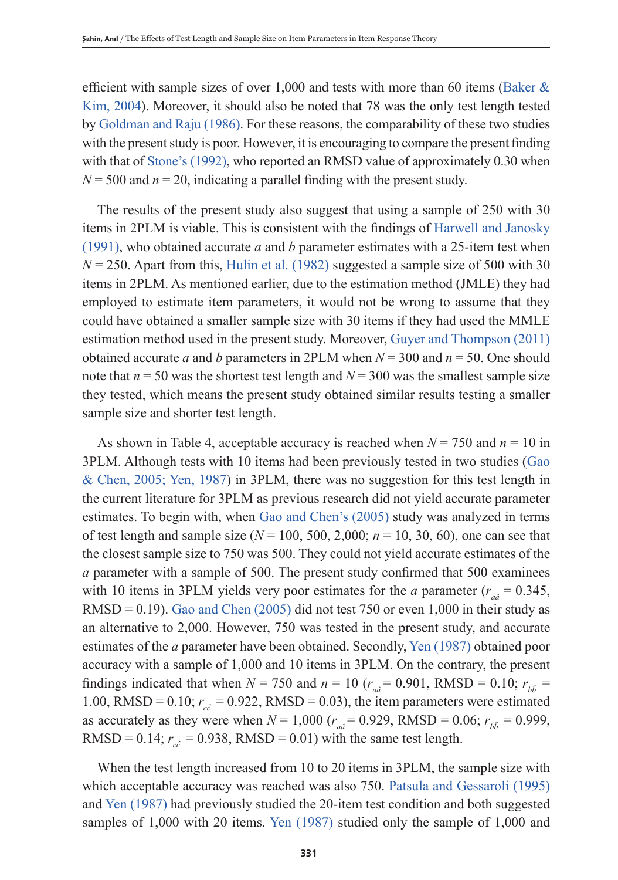efficient with sample sizes of over 1,000 and tests with more than 60 items (Baker  $\&$ Kim, 2004). Moreover, it should also be noted that 78 was the only test length tested by Goldman and Raju (1986). For these reasons, the comparability of these two studies with the present study is poor. However, it is encouraging to compare the present finding with that of Stone's (1992), who reported an RMSD value of approximately 0.30 when  $N = 500$  and  $n = 20$ , indicating a parallel finding with the present study.

The results of the present study also suggest that using a sample of 250 with 30 items in 2PLM is viable. This is consistent with the findings of Harwell and Janosky (1991), who obtained accurate *a* and *b* parameter estimates with a 25-item test when  $N = 250$ . Apart from this, Hulin et al. (1982) suggested a sample size of 500 with 30 items in 2PLM. As mentioned earlier, due to the estimation method (JMLE) they had employed to estimate item parameters, it would not be wrong to assume that they could have obtained a smaller sample size with 30 items if they had used the MMLE estimation method used in the present study. Moreover, Guyer and Thompson (2011) obtained accurate *a* and *b* parameters in 2PLM when  $N = 300$  and  $n = 50$ . One should note that  $n = 50$  was the shortest test length and  $N = 300$  was the smallest sample size they tested, which means the present study obtained similar results testing a smaller sample size and shorter test length.

As shown in Table 4, acceptable accuracy is reached when *N* = 750 and *n* = 10 in 3PLM. Although tests with 10 items had been previously tested in two studies (Gao & Chen, 2005; Yen, 1987) in 3PLM, there was no suggestion for this test length in the current literature for 3PLM as previous research did not yield accurate parameter estimates. To begin with, when Gao and Chen's (2005) study was analyzed in terms of test length and sample size  $(N = 100, 500, 2,000; n = 10, 30, 60)$ , one can see that the closest sample size to 750 was 500. They could not yield accurate estimates of the *a* parameter with a sample of 500. The present study confirmed that 500 examinees with 10 items in 3PLM yields very poor estimates for the *a* parameter  $(r_{a\hat{a}} = 0.345)$ ,  $RMSD = 0.19$ . Gao and Chen (2005) did not test 750 or even 1,000 in their study as an alternative to 2,000. However, 750 was tested in the present study, and accurate estimates of the *a* parameter have been obtained. Secondly, Yen (1987) obtained poor accuracy with a sample of 1,000 and 10 items in 3PLM. On the contrary, the present findings indicated that when  $N = 750$  and  $n = 10$  ( $r_{a\hat{a}} = 0.901$ , RMSD = 0.10;  $r_{b\hat{b}} =$ 1.00, RMSD = 0.10;  $r_{c\hat{c}} = 0.922$ , RMSD = 0.03), the item parameters were estimated as accurately as they were when  $N = 1,000$  ( $r_{a\hat{a}} = 0.929$ , RMSD = 0.06;  $r_{b\hat{b}} = 0.999$ , RMSD = 0.14;  $r_{c\hat{c}}$  = 0.938, RMSD = 0.01) with the same test length.

When the test length increased from 10 to 20 items in 3PLM, the sample size with which acceptable accuracy was reached was also 750. Patsula and Gessaroli (1995) and Yen (1987) had previously studied the 20-item test condition and both suggested samples of 1,000 with 20 items. Yen (1987) studied only the sample of 1,000 and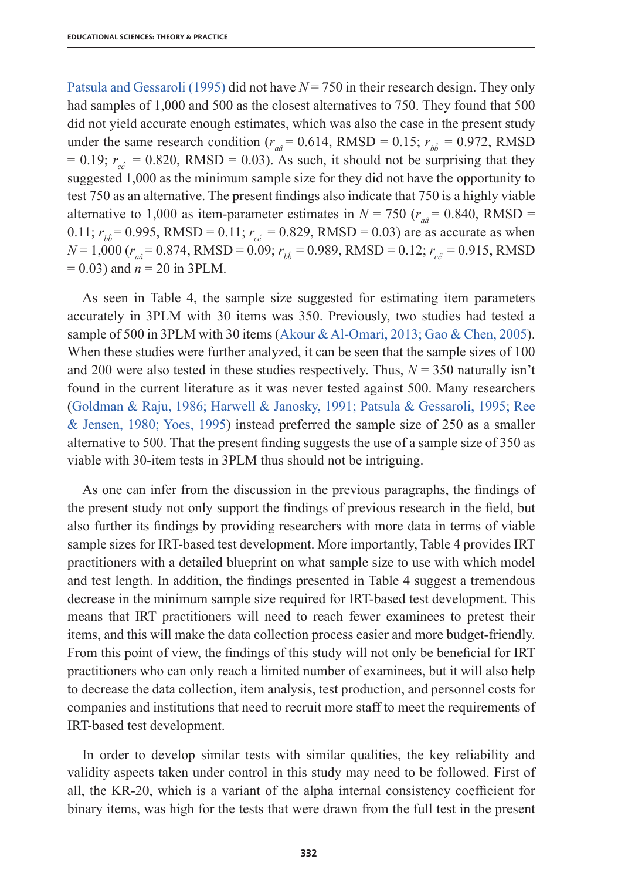Patsula and Gessaroli (1995) did not have *N* = 750 in their research design. They only had samples of 1,000 and 500 as the closest alternatives to 750. They found that 500 did not yield accurate enough estimates, which was also the case in the present study under the same research condition ( $r_{a\hat{a}}$  = 0.614, RMSD = 0.15;  $r_{b\hat{b}}$  = 0.972, RMSD  $= 0.19$ ;  $r_{c\hat{c}} = 0.820$ , RMSD = 0.03). As such, it should not be surprising that they suggested 1,000 as the minimum sample size for they did not have the opportunity to test 750 as an alternative. The present findings also indicate that 750 is a highly viable alternative to 1,000 as item-parameter estimates in  $N = 750$  ( $r_{a\hat{a}} = 0.840$ , RMSD = 0.11;  $r_{b\hat{i}} = 0.995$ , RMSD = 0.11;  $r_{c\hat{i}} = 0.829$ , RMSD = 0.03) are as accurate as when  $N = 1,000$  ( $r_{a\hat{a}} = 0.874$ , RMSD = 0.09;  $r_{b\hat{b}} = 0.989$ , RMSD = 0.12;  $r_{c\hat{c}} = 0.915$ , RMSD = 0.03) and *n* = 20 in 3PLM.

As seen in Table 4, the sample size suggested for estimating item parameters accurately in 3PLM with 30 items was 350. Previously, two studies had tested a sample of 500 in 3PLM with 30 items (Akour & Al-Omari, 2013; Gao & Chen, 2005). When these studies were further analyzed, it can be seen that the sample sizes of 100 and 200 were also tested in these studies respectively. Thus,  $N = 350$  naturally isn't found in the current literature as it was never tested against 500. Many researchers (Goldman & Raju, 1986; Harwell & Janosky, 1991; Patsula & Gessaroli, 1995; Ree & Jensen, 1980; Yoes, 1995) instead preferred the sample size of 250 as a smaller alternative to 500. That the present finding suggests the use of a sample size of 350 as viable with 30-item tests in 3PLM thus should not be intriguing.

As one can infer from the discussion in the previous paragraphs, the findings of the present study not only support the findings of previous research in the field, but also further its findings by providing researchers with more data in terms of viable sample sizes for IRT-based test development. More importantly, Table 4 provides IRT practitioners with a detailed blueprint on what sample size to use with which model and test length. In addition, the findings presented in Table 4 suggest a tremendous decrease in the minimum sample size required for IRT-based test development. This means that IRT practitioners will need to reach fewer examinees to pretest their items, and this will make the data collection process easier and more budget-friendly. From this point of view, the findings of this study will not only be beneficial for IRT practitioners who can only reach a limited number of examinees, but it will also help to decrease the data collection, item analysis, test production, and personnel costs for companies and institutions that need to recruit more staff to meet the requirements of IRT-based test development.

In order to develop similar tests with similar qualities, the key reliability and validity aspects taken under control in this study may need to be followed. First of all, the KR-20, which is a variant of the alpha internal consistency coefficient for binary items, was high for the tests that were drawn from the full test in the present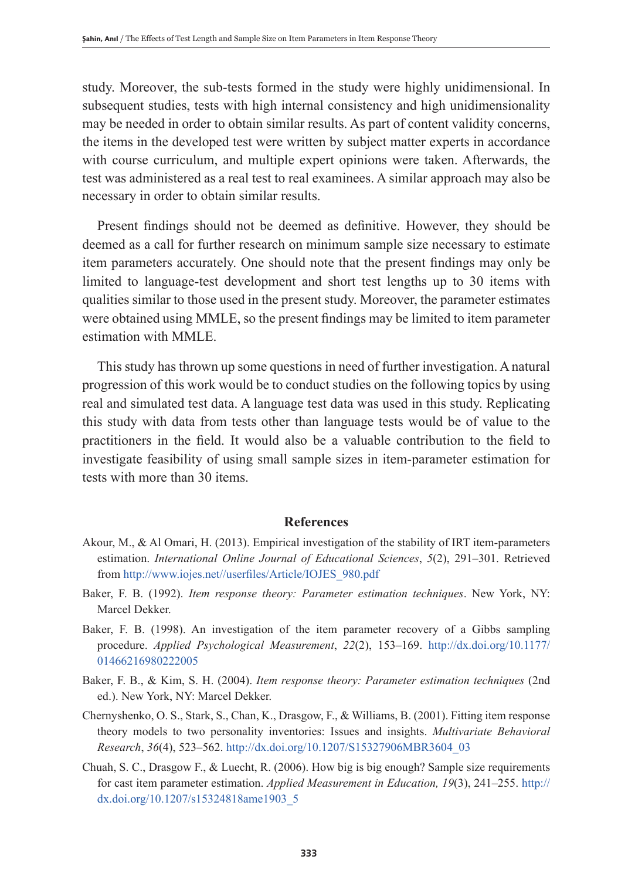study. Moreover, the sub-tests formed in the study were highly unidimensional. In subsequent studies, tests with high internal consistency and high unidimensionality may be needed in order to obtain similar results. As part of content validity concerns, the items in the developed test were written by subject matter experts in accordance with course curriculum, and multiple expert opinions were taken. Afterwards, the test was administered as a real test to real examinees. A similar approach may also be necessary in order to obtain similar results.

Present findings should not be deemed as definitive. However, they should be deemed as a call for further research on minimum sample size necessary to estimate item parameters accurately. One should note that the present findings may only be limited to language-test development and short test lengths up to 30 items with qualities similar to those used in the present study. Moreover, the parameter estimates were obtained using MMLE, so the present findings may be limited to item parameter estimation with MMLE.

This study has thrown up some questions in need of further investigation. A natural progression of this work would be to conduct studies on the following topics by using real and simulated test data. A language test data was used in this study. Replicating this study with data from tests other than language tests would be of value to the practitioners in the field. It would also be a valuable contribution to the field to investigate feasibility of using small sample sizes in item-parameter estimation for tests with more than 30 items.

## **References**

- Akour, M., & Al Omari, H. (2013). Empirical investigation of the stability of IRT item-parameters estimation. *International Online Journal of Educational Sciences*, *5*(2), 291–301. Retrieved from http://www.iojes.net//userfiles/Article/IOJES\_980.pdf
- Baker, F. B. (1992). *Item response theory: Parameter estimation techniques*. New York, NY: Marcel Dekker.
- Baker, F. B. (1998). An investigation of the item parameter recovery of a Gibbs sampling procedure. *Applied Psychological Measurement*, *22*(2), 153–169. http://dx.doi.org/10.1177/ 01466216980222005
- Baker, F. B., & Kim, S. H. (2004). *Item response theory: Parameter estimation techniques* (2nd ed.). New York, NY: Marcel Dekker.
- Chernyshenko, O. S., Stark, S., Chan, K., Drasgow, F., & Williams, B. (2001). Fitting item response theory models to two personality inventories: Issues and insights. *Multivariate Behavioral Research*, *36*(4), 523–562. http://dx.doi.org/10.1207/S15327906MBR3604\_03
- Chuah, S. C., Drasgow F., & Luecht, R. (2006). How big is big enough? Sample size requirements for cast item parameter estimation. *Applied Measurement in Education, 19*(3), 241–255. http:// dx.doi.org/10.1207/s15324818ame1903\_5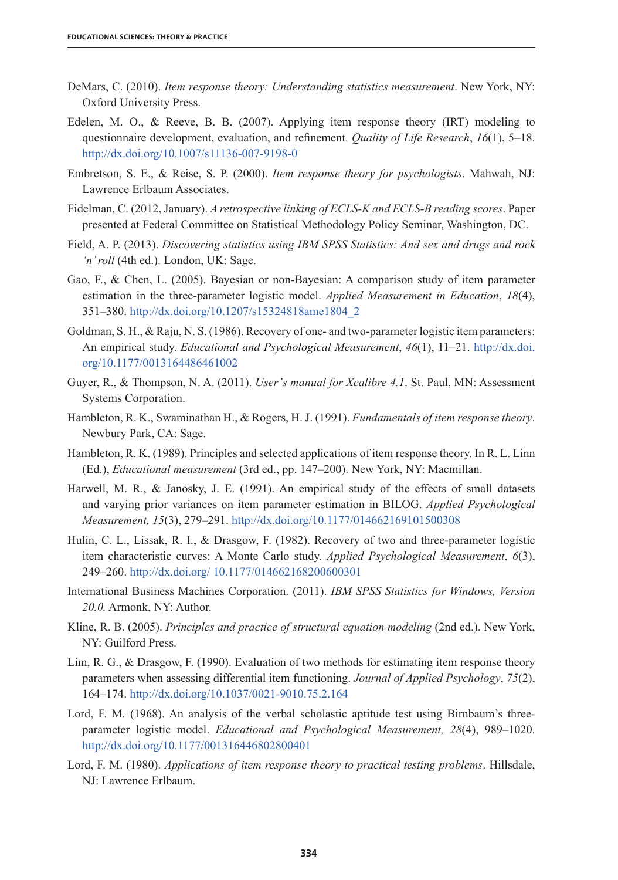- DeMars, C. (2010). *Item response theory: Understanding statistics measurement*. New York, NY: Oxford University Press.
- Edelen, M. O., & Reeve, B. B. (2007). Applying item response theory (IRT) modeling to questionnaire development, evaluation, and refinement. *Quality of Life Research*, *16*(1), 5–18. http://dx.doi.org/10.1007/s11136-007-9198-0
- Embretson, S. E., & Reise, S. P. (2000). *Item response theory for psychologists*. Mahwah, NJ: Lawrence Erlbaum Associates.
- Fidelman, C. (2012, January). *A retrospective linking of ECLS-K and ECLS-B reading scores*. Paper presented at Federal Committee on Statistical Methodology Policy Seminar, Washington, DC.
- Field, A. P. (2013). *Discovering statistics using IBM SPSS Statistics: And sex and drugs and rock 'n' roll* (4th ed.). London, UK: Sage.
- Gao, F., & Chen, L. (2005). Bayesian or non-Bayesian: A comparison study of item parameter estimation in the three-parameter logistic model. *Applied Measurement in Education*, *18*(4), 351–380. http://dx.doi.org/10.1207/s15324818ame1804\_2
- Goldman, S. H., & Raju, N. S. (1986). Recovery of one- and two-parameter logistic item parameters: An empirical study. *Educational and Psychological Measurement*, *46*(1), 11–21. http://dx.doi. org/10.1177/0013164486461002
- Guyer, R., & Thompson, N. A. (2011). *User's manual for Xcalibre 4.1*. St. Paul, MN: Assessment Systems Corporation.
- Hambleton, R. K., Swaminathan H., & Rogers, H. J. (1991). *Fundamentals of item response theory*. Newbury Park, CA: Sage.
- Hambleton, R. K. (1989). Principles and selected applications of item response theory. In R. L. Linn (Ed.), *Educational measurement* (3rd ed., pp. 147–200). New York, NY: Macmillan.
- Harwell, M. R., & Janosky, J. E. (1991). An empirical study of the effects of small datasets and varying prior variances on item parameter estimation in BILOG. *Applied Psychological Measurement, 15*(3), 279–291. http://dx.doi.org/10.1177/014662169101500308
- Hulin, C. L., Lissak, R. I., & Drasgow, F. (1982). Recovery of two and three-parameter logistic item characteristic curves: A Monte Carlo study. *Applied Psychological Measurement*, *6*(3), 249–260. http://dx.doi.org/ 10.1177/014662168200600301
- International Business Machines Corporation. (2011). *IBM SPSS Statistics for Windows, Version 20.0.* Armonk, NY: Author.
- Kline, R. B. (2005). *Principles and practice of structural equation modeling* (2nd ed.). New York, NY: Guilford Press.
- Lim, R. G., & Drasgow, F. (1990). Evaluation of two methods for estimating item response theory parameters when assessing differential item functioning. *Journal of Applied Psychology*, *75*(2), 164–174. http://dx.doi.org/10.1037/0021-9010.75.2.164
- Lord, F. M. (1968). An analysis of the verbal scholastic aptitude test using Birnbaum's threeparameter logistic model. *Educational and Psychological Measurement, 28*(4), 989–1020. http://dx.doi.org/10.1177/001316446802800401
- Lord, F. M. (1980). *Applications of item response theory to practical testing problems*. Hillsdale, NJ: Lawrence Erlbaum.